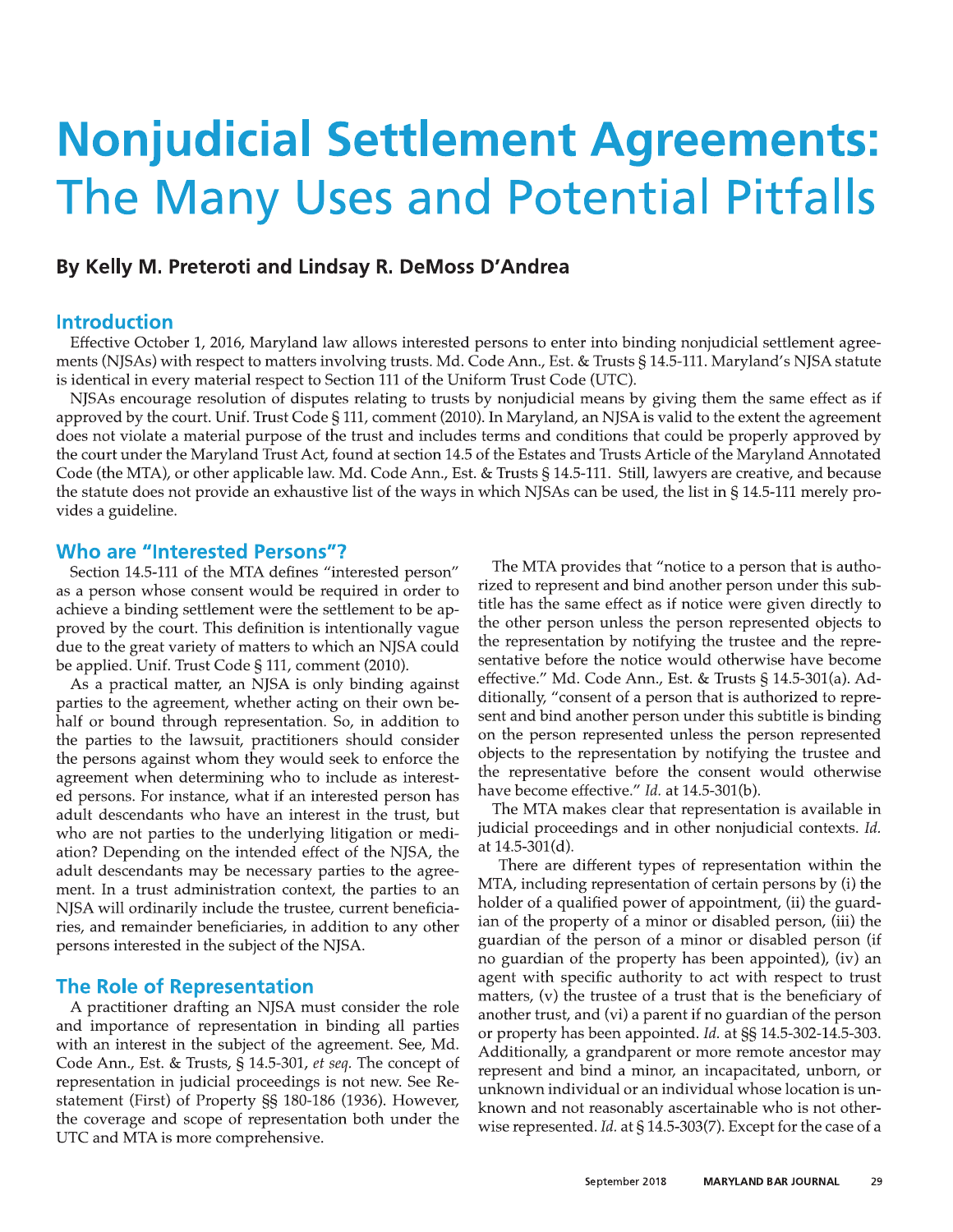# **Nonjudicial Settlement Agreements:** The Many Uses and Potential Pitfalls

# By Kelly M. Preteroti and Lindsay R. DeMoss D'Andrea

#### **Introduction**

Effective October 1, 2016, Maryland law allows interested persons to enter into binding nonjudicial settlement agreements (NJSAs) with respect to matters involving trusts. Md. Code Ann., Est. & Trusts § 14.5-111. Maryland's NJSA statute is identical in every material respect to Section 111 of the Uniform Trust Code (UTC).

NJSAs encourage resolution of disputes relating to trusts by nonjudicial means by giving them the same effect as if approved by the court. Unif. Trust Code § 111, comment (2010). In Maryland, an NJSA is valid to the extent the agreement does not violate a material purpose of the trust and includes terms and conditions that could be properly approved by the court under the Maryland Trust Act, found at section 14.5 of the Estates and Trusts Article of the Maryland Annotated Code (the MTA), or other applicable law. Md. Code Ann., Est. & Trusts § 14.5-111. Still, lawyers are creative, and because the statute does not provide an exhaustive list of the ways in which NJSAs can be used, the list in § 14.5-111 merely provides a guideline.

#### **Who are "Interested Persons"?**

Section 14.5-111 of the MTA defines "interested person" as a person whose consent would be required in order to achieve a binding settlement were the settlement to be approved by the court. This definition is intentionally vague due to the great variety of matters to which an NJSA could be applied. Unif. Trust Code § 111, comment (2010).

As a practical matter, an NJSA is only binding against parties to the agreement, whether acting on their own behalf or bound through representation. So, in addition to the parties to the lawsuit, practitioners should consider the persons against whom they would seek to enforce the agreement when determining who to include as interested persons. For instance, what if an interested person has adult descendants who have an interest in the trust, but who are not parties to the underlying litigation or mediation? Depending on the intended effect of the NJSA, the adult descendants may be necessary parties to the agreement. In a trust administration context, the parties to an NJSA will ordinarily include the trustee, current beneficiaries, and remainder beneficiaries, in addition to any other persons interested in the subject of the NJSA.

#### **The Role of Representation**

A practitioner drafting an NJSA must consider the role and importance of representation in binding all parties with an interest in the subject of the agreement. See, Md. Code Ann., Est. & Trusts, § 14.5-301, et seq. The concept of representation in judicial proceedings is not new. See Restatement (First) of Property SS 180-186 (1936). However, the coverage and scope of representation both under the UTC and MTA is more comprehensive.

The MTA provides that "notice to a person that is authorized to represent and bind another person under this subtitle has the same effect as if notice were given directly to the other person unless the person represented objects to the representation by notifying the trustee and the representative before the notice would otherwise have become effective." Md. Code Ann., Est. & Trusts § 14.5-301(a). Additionally, "consent of a person that is authorized to represent and bind another person under this subtitle is binding on the person represented unless the person represented objects to the representation by notifying the trustee and the representative before the consent would otherwise have become effective." Id. at 14.5-301(b).

The MTA makes clear that representation is available in judicial proceedings and in other nonjudicial contexts. Id. at 14.5-301(d).

There are different types of representation within the MTA, including representation of certain persons by (i) the holder of a qualified power of appointment, (ii) the guardian of the property of a minor or disabled person, (iii) the guardian of the person of a minor or disabled person (if no guardian of the property has been appointed), (iv) an agent with specific authority to act with respect to trust matters, (v) the trustee of a trust that is the beneficiary of another trust, and (vi) a parent if no guardian of the person or property has been appointed. Id. at SS 14.5-302-14.5-303. Additionally, a grandparent or more remote ancestor may represent and bind a minor, an incapacitated, unborn, or unknown individual or an individual whose location is unknown and not reasonably ascertainable who is not otherwise represented. Id. at § 14.5-303(7). Except for the case of a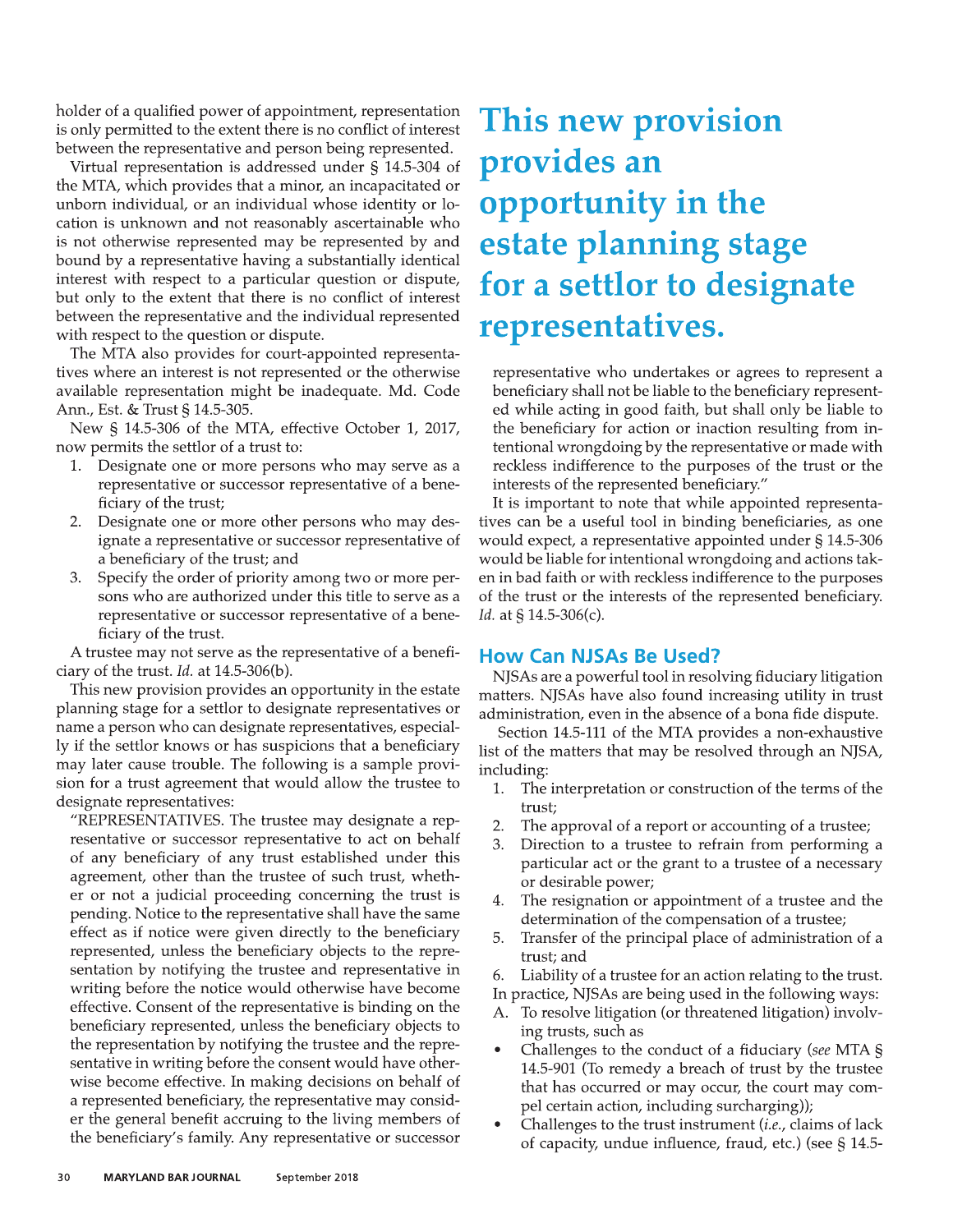holder of a qualified power of appointment, representation is only permitted to the extent there is no conflict of interest between the representative and person being represented.

Virtual representation is addressed under § 14.5-304 of the MTA, which provides that a minor, an incapacitated or unborn individual, or an individual whose identity or location is unknown and not reasonably ascertainable who is not otherwise represented may be represented by and bound by a representative having a substantially identical interest with respect to a particular question or dispute, but only to the extent that there is no conflict of interest between the representative and the individual represented with respect to the question or dispute.

The MTA also provides for court-appointed representatives where an interest is not represented or the otherwise available representation might be inadequate. Md. Code Ann., Est. & Trust § 14.5-305.

New § 14.5-306 of the MTA, effective October 1, 2017, now permits the settlor of a trust to:

- Designate one or more persons who may serve as a 1. representative or successor representative of a beneficiary of the trust;
- 2. Designate one or more other persons who may designate a representative or successor representative of a beneficiary of the trust; and
- Specify the order of priority among two or more per-3. sons who are authorized under this title to serve as a representative or successor representative of a beneficiary of the trust.

A trustee may not serve as the representative of a beneficiary of the trust. Id. at 14.5-306(b).

This new provision provides an opportunity in the estate planning stage for a settlor to designate representatives or name a person who can designate representatives, especially if the settlor knows or has suspicions that a beneficiary may later cause trouble. The following is a sample provision for a trust agreement that would allow the trustee to designate representatives:

"REPRESENTATIVES. The trustee may designate a representative or successor representative to act on behalf of any beneficiary of any trust established under this agreement, other than the trustee of such trust, whether or not a judicial proceeding concerning the trust is pending. Notice to the representative shall have the same effect as if notice were given directly to the beneficiary represented, unless the beneficiary objects to the representation by notifying the trustee and representative in writing before the notice would otherwise have become effective. Consent of the representative is binding on the beneficiary represented, unless the beneficiary objects to the representation by notifying the trustee and the representative in writing before the consent would have otherwise become effective. In making decisions on behalf of a represented beneficiary, the representative may consider the general benefit accruing to the living members of the beneficiary's family. Any representative or successor

# This new provision provides an opportunity in the estate planning stage for a settlor to designate representatives.

representative who undertakes or agrees to represent a beneficiary shall not be liable to the beneficiary represented while acting in good faith, but shall only be liable to the beneficiary for action or inaction resulting from intentional wrongdoing by the representative or made with reckless indifference to the purposes of the trust or the interests of the represented beneficiary."

It is important to note that while appointed representatives can be a useful tool in binding beneficiaries, as one would expect, a representative appointed under § 14.5-306 would be liable for intentional wrongdoing and actions taken in bad faith or with reckless indifference to the purposes of the trust or the interests of the represented beneficiary. *Id.* at  $\S$  14.5-306(c).

#### **How Can NJSAs Be Used?**

NJSAs are a powerful tool in resolving fiduciary litigation matters. NJSAs have also found increasing utility in trust administration, even in the absence of a bona fide dispute.

Section 14.5-111 of the MTA provides a non-exhaustive list of the matters that may be resolved through an NJSA, including:

- 1. The interpretation or construction of the terms of the trust:
- The approval of a report or accounting of a trustee; 2.
- 3. Direction to a trustee to refrain from performing a particular act or the grant to a trustee of a necessary or desirable power;
- The resignation or appointment of a trustee and the 4. determination of the compensation of a trustee;
- $5.$ Transfer of the principal place of administration of a trust; and
- 6. Liability of a trustee for an action relating to the trust.
- In practice, NJSAs are being used in the following ways:
- A. To resolve litigation (or threatened litigation) involving trusts, such as
- Challenges to the conduct of a fiduciary (see MTA § 14.5-901 (To remedy a breach of trust by the trustee that has occurred or may occur, the court may compel certain action, including surcharging));
- Challenges to the trust instrument *(i.e., claims of lack* of capacity, undue influence, fraud, etc.) (see § 14.5-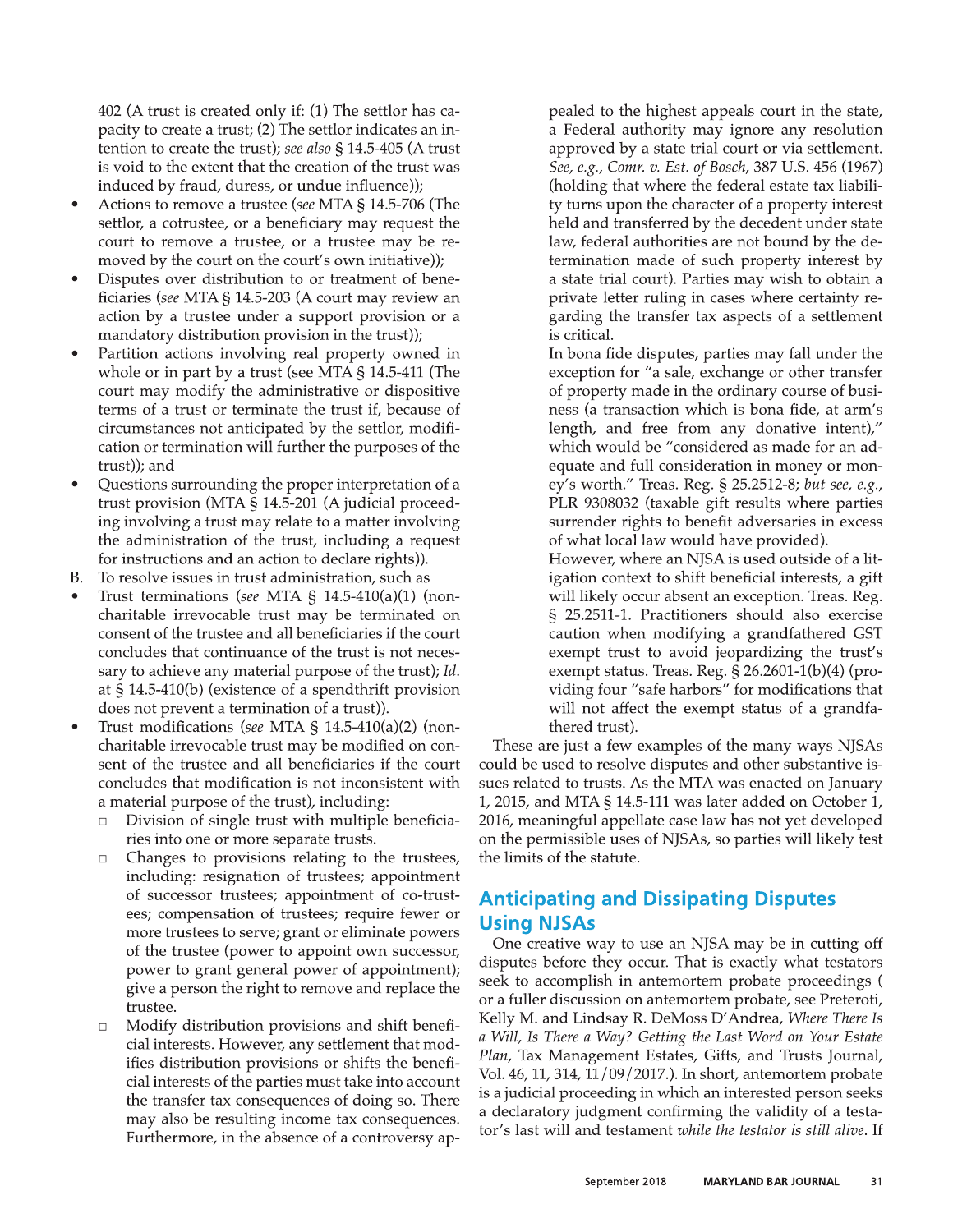402 (A trust is created only if: (1) The settlor has capacity to create a trust; (2) The settlor indicates an intention to create the trust); see also  $\S$  14.5-405 (A trust is void to the extent that the creation of the trust was induced by fraud, duress, or undue influence));

- Actions to remove a trustee (see MTA § 14.5-706 (The settlor, a cotrustee, or a beneficiary may request the court to remove a trustee, or a trustee may be removed by the court on the court's own initiative));
- Disputes over distribution to or treatment of beneficiaries (see MTA § 14.5-203 (A court may review an action by a trustee under a support provision or a mandatory distribution provision in the trust));
- Partition actions involving real property owned in whole or in part by a trust (see MTA  $\S$  14.5-411 (The court may modify the administrative or dispositive terms of a trust or terminate the trust if, because of circumstances not anticipated by the settlor, modification or termination will further the purposes of the trust)); and
- Questions surrounding the proper interpretation of a trust provision (MTA § 14.5-201 (A judicial proceeding involving a trust may relate to a matter involving the administration of the trust, including a request for instructions and an action to declare rights)).
- В. To resolve issues in trust administration, such as
- Trust terminations (see MTA  $\S$  14.5-410(a)(1) (noncharitable irrevocable trust may be terminated on consent of the trustee and all beneficiaries if the court concludes that continuance of the trust is not necessary to achieve any material purpose of the trust); Id. at  $\S$  14.5-410(b) (existence of a spendthrift provision does not prevent a termination of a trust)).
- Trust modifications (see MTA § 14.5-410(a)(2) (noncharitable irrevocable trust may be modified on consent of the trustee and all beneficiaries if the court concludes that modification is not inconsistent with a material purpose of the trust), including:
	- Division of single trust with multiple beneficia- $\Box$ ries into one or more separate trusts.
	- Changes to provisions relating to the trustees,  $\Box$ including: resignation of trustees; appointment of successor trustees; appointment of co-trustees; compensation of trustees; require fewer or more trustees to serve; grant or eliminate powers of the trustee (power to appoint own successor, power to grant general power of appointment); give a person the right to remove and replace the trustee.
	- Modify distribution provisions and shift benefi- $\Box$ cial interests. However, any settlement that modifies distribution provisions or shifts the beneficial interests of the parties must take into account the transfer tax consequences of doing so. There may also be resulting income tax consequences. Furthermore, in the absence of a controversy ap-

pealed to the highest appeals court in the state, a Federal authority may ignore any resolution approved by a state trial court or via settlement. See, e.g., Comr. v. Est. of Bosch, 387 U.S. 456 (1967) (holding that where the federal estate tax liability turns upon the character of a property interest held and transferred by the decedent under state law, federal authorities are not bound by the determination made of such property interest by a state trial court). Parties may wish to obtain a private letter ruling in cases where certainty regarding the transfer tax aspects of a settlement is critical.

In bona fide disputes, parties may fall under the exception for "a sale, exchange or other transfer of property made in the ordinary course of business (a transaction which is bona fide, at arm's length, and free from any donative intent)," which would be "considered as made for an adequate and full consideration in money or money's worth." Treas. Reg. § 25.2512-8; but see, e.g., PLR 9308032 (taxable gift results where parties surrender rights to benefit adversaries in excess of what local law would have provided).

However, where an NJSA is used outside of a litigation context to shift beneficial interests, a gift will likely occur absent an exception. Treas. Reg. § 25.2511-1. Practitioners should also exercise caution when modifying a grandfathered GST exempt trust to avoid jeopardizing the trust's exempt status. Treas. Reg.  $\S$  26.2601-1(b)(4) (providing four "safe harbors" for modifications that will not affect the exempt status of a grandfathered trust).

These are just a few examples of the many ways NJSAs could be used to resolve disputes and other substantive issues related to trusts. As the MTA was enacted on January 1, 2015, and MTA  $\S$  14.5-111 was later added on October 1, 2016, meaningful appellate case law has not yet developed on the permissible uses of NJSAs, so parties will likely test the limits of the statute.

# **Anticipating and Dissipating Disputes Using NJSAs**

One creative way to use an NJSA may be in cutting off disputes before they occur. That is exactly what testators seek to accomplish in antemortem probate proceedings ( or a fuller discussion on antemortem probate, see Preteroti, Kelly M. and Lindsay R. DeMoss D'Andrea, Where There Is a Will, Is There a Way? Getting the Last Word on Your Estate Plan, Tax Management Estates, Gifts, and Trusts Journal, Vol. 46, 11, 314, 11/09/2017.). In short, antemortem probate is a judicial proceeding in which an interested person seeks a declaratory judgment confirming the validity of a testator's last will and testament while the testator is still alive. If